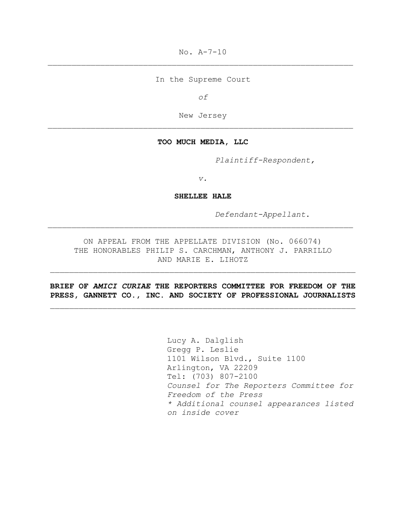No. A-7-10

In the Supreme Court

*of*

New Jersey

### **TOO MUCH MEDIA, LLC**

*Plaintiff-Respondent,*

*v.*

**SHELLEE HALE**

*Defendant-Appellant*.

ON APPEAL FROM THE APPELLATE DIVISION (No. 066074) THE HONORABLES PHILIP S. CARCHMAN, ANTHONY J. PARRILLO AND MARIE E. LIHOTZ

**BRIEF OF** *AMICI CURIAE* **THE REPORTERS COMMITTEE FOR FREEDOM OF THE PRESS, GANNETT CO., INC. AND SOCIETY OF PROFESSIONAL JOURNALISTS**

> Lucy A. Dalglish Gregg P. Leslie 1101 Wilson Blvd., Suite 1100 Arlington, VA 22209 Tel: (703) 807-2100 *Counsel for The Reporters Committee for Freedom of the Press \* Additional counsel appearances listed on inside cover*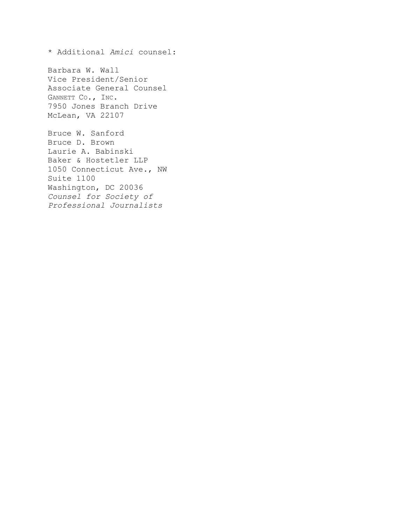\* Additional *Amici* counsel:

Barbara W. Wall Vice President/Senior Associate General Counsel GANNETT CO., INC. 7950 Jones Branch Drive McLean, VA 22107

Bruce W. Sanford Bruce D. Brown Laurie A. Babinski Baker & Hostetler LLP 1050 Connecticut Ave., NW Suite 1100 Washington, DC 20036 *Counsel for Society of Professional Journalists*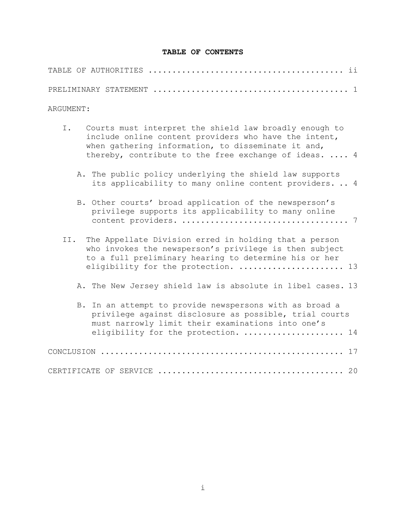## **TABLE OF CONTENTS**

| ARGUMENT:                                                                                                                                                                                                                            |
|--------------------------------------------------------------------------------------------------------------------------------------------------------------------------------------------------------------------------------------|
| Ι.<br>Courts must interpret the shield law broadly enough to<br>include online content providers who have the intent,<br>when gathering information, to disseminate it and,<br>thereby, contribute to the free exchange of ideas.  4 |
| A. The public policy underlying the shield law supports<br>its applicability to many online content providers 4                                                                                                                      |
| B. Other courts' broad application of the newsperson's<br>privilege supports its applicability to many online                                                                                                                        |
| The Appellate Division erred in holding that a person<br>II.<br>who invokes the newsperson's privilege is then subject<br>to a full preliminary hearing to determine his or her<br>eligibility for the protection.  13               |
| A. The New Jersey shield law is absolute in libel cases. 13                                                                                                                                                                          |
| B. In an attempt to provide newspersons with as broad a<br>privilege against disclosure as possible, trial courts<br>must narrowly limit their examinations into one's<br>eligibility for the protection.  14                        |
| CONCLUSION                                                                                                                                                                                                                           |
|                                                                                                                                                                                                                                      |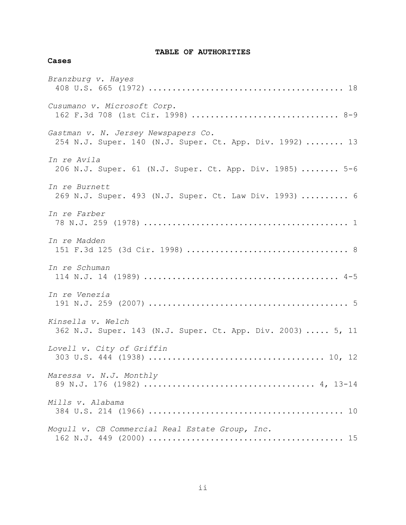# **TABLE OF AUTHORITIES**

## **Cases**

| Branzburg v. Hayes                                                                              |
|-------------------------------------------------------------------------------------------------|
| Cusumano v. Microsoft Corp.<br>162 F.3d 708 (1st Cir. 1998)  8-9                                |
| Gastman v. N. Jersey Newspapers Co.<br>254 N.J. Super. 140 (N.J. Super. Ct. App. Div. 1992)  13 |
| In re Avila<br>206 N.J. Super. 61 (N.J. Super. Ct. App. Div. 1985)  5-6                         |
| In re Burnett<br>269 N.J. Super. 493 (N.J. Super. Ct. Law Div. 1993)  6                         |
| In re Farber                                                                                    |
| In re Madden                                                                                    |
| In re Schuman                                                                                   |
| In re Venezia                                                                                   |
| Kinsella v. Welch<br>362 N.J. Super. 143 (N.J. Super. Ct. App. Div. 2003)  5, 11                |
| Lovell v. City of Griffin                                                                       |
| Maressa v. N.J. Monthly                                                                         |
| Mills v. Alabama                                                                                |
| Mogull v. CB Commercial Real Estate Group, Inc.                                                 |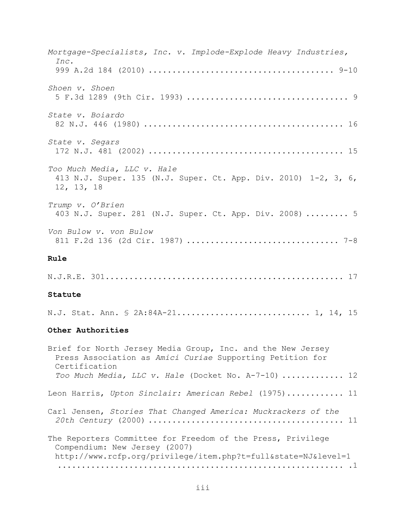| Mortgage-Specialists, Inc. v. Implode-Explode Heavy Industries,<br>Inc.                                                                                        |
|----------------------------------------------------------------------------------------------------------------------------------------------------------------|
|                                                                                                                                                                |
| Shoen v. Shoen                                                                                                                                                 |
| State v. Boiardo                                                                                                                                               |
| State v. Segars                                                                                                                                                |
| Too Much Media, LLC v. Hale<br>413 N.J. Super. 135 (N.J. Super. Ct. App. Div. 2010) 1-2, 3, 6,<br>12, 13, 18                                                   |
| Trump v. O'Brien<br>403 N.J. Super. 281 (N.J. Super. Ct. App. Div. 2008)  5                                                                                    |
| Von Bulow v. von Bulow                                                                                                                                         |
| Rule                                                                                                                                                           |
|                                                                                                                                                                |
| Statute                                                                                                                                                        |
| N.J. Stat. Ann. § 2A:84A-21 1, 14, 15                                                                                                                          |
| Other Authorities                                                                                                                                              |
| Brief for North Jersey Media Group, Inc. and the New Jersey<br>Press Association as Amici Curiae Supporting Petition for<br>Certification                      |
| Too Much Media, LLC v. Hale (Docket No. A-7-10)  12                                                                                                            |
| Leon Harris, Upton Sinclair: American Rebel (1975) 11                                                                                                          |
| Carl Jensen, Stories That Changed America: Muckrackers of the                                                                                                  |
| The Reporters Committee for Freedom of the Press, Privilege<br>Compendium: New Jersey (2007)<br>http://www.rcfp.org/privilege/item.php?t=full&state=NJ&level=1 |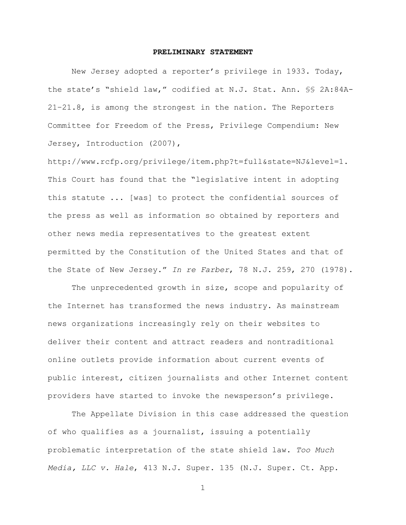#### **PRELIMINARY STATEMENT**

<span id="page-5-0"></span>New Jersey adopted a reporter's privilege in 1933. Today, the state's "shield law," codified at N.J. Stat. Ann. §§ 2A:84A-21–21.8, is among the strongest in the nation. The Reporters Committee for Freedom of the Press, Privilege Compendium: New Jersey, Introduction (2007),

http://www.rcfp.org/privilege/item.php?t=full&state=NJ&level=1. This Court has found that the "legislative intent in adopting this statute ... [was] to protect the confidential sources of the press as well as information so obtained by reporters and other news media representatives to the greatest extent permitted by the Constitution of the United States and that of the State of New Jersey.‖ *In re Farber*, 78 N.J. 259, 270 (1978).

The unprecedented growth in size, scope and popularity of the Internet has transformed the news industry. As mainstream news organizations increasingly rely on their websites to deliver their content and attract readers and nontraditional online outlets provide information about current events of public interest, citizen journalists and other Internet content providers have started to invoke the newsperson's privilege.

The Appellate Division in this case addressed the question of who qualifies as a journalist, issuing a potentially problematic interpretation of the state shield law. *Too Much Media, LLC v. Hale*, 413 N.J. Super. 135 (N.J. Super. Ct. App.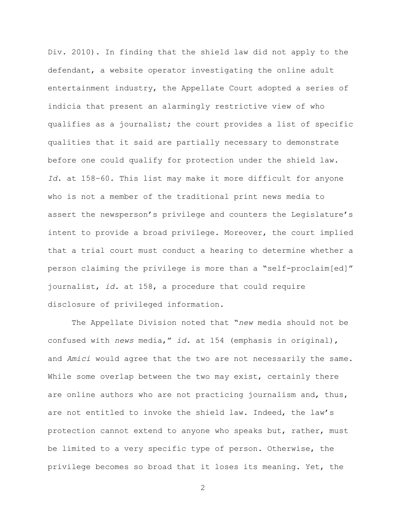Div. 2010). In finding that the shield law did not apply to the defendant, a website operator investigating the online adult entertainment industry, the Appellate Court adopted a series of indicia that present an alarmingly restrictive view of who qualifies as a journalist; the court provides a list of specific qualities that it said are partially necessary to demonstrate before one could qualify for protection under the shield law. *Id.* at 158–60. This list may make it more difficult for anyone who is not a member of the traditional print news media to assert the newsperson's privilege and counters the Legislature's intent to provide a broad privilege. Moreover, the court implied that a trial court must conduct a hearing to determine whether a person claiming the privilege is more than a "self-proclaim[ed]" journalist, *id.* at 158, a procedure that could require disclosure of privileged information.

The Appellate Division noted that "new media should not be confused with *news* media,‖ *id.* at 154 (emphasis in original), and *Amici* would agree that the two are not necessarily the same. While some overlap between the two may exist, certainly there are online authors who are not practicing journalism and, thus, are not entitled to invoke the shield law. Indeed, the law's protection cannot extend to anyone who speaks but, rather, must be limited to a very specific type of person. Otherwise, the privilege becomes so broad that it loses its meaning. Yet, the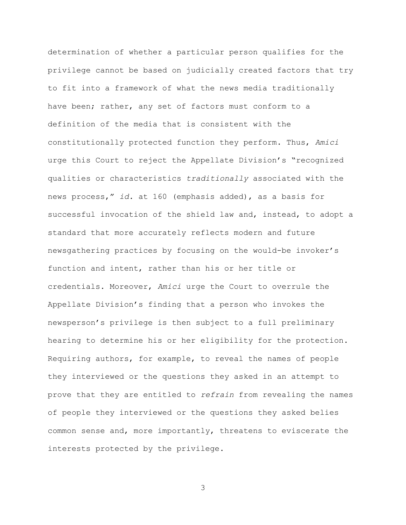determination of whether a particular person qualifies for the privilege cannot be based on judicially created factors that try to fit into a framework of what the news media traditionally have been; rather, any set of factors must conform to a definition of the media that is consistent with the constitutionally protected function they perform. Thus, *Amici* urge this Court to reject the Appellate Division's "recognized qualities or characteristics *traditionally* associated with the news process," *id.* at 160 (emphasis added), as a basis for successful invocation of the shield law and, instead, to adopt a standard that more accurately reflects modern and future newsgathering practices by focusing on the would-be invoker's function and intent, rather than his or her title or credentials. Moreover, *Amici* urge the Court to overrule the Appellate Division's finding that a person who invokes the newsperson's privilege is then subject to a full preliminary hearing to determine his or her eligibility for the protection. Requiring authors, for example, to reveal the names of people they interviewed or the questions they asked in an attempt to prove that they are entitled to *refrain* from revealing the names of people they interviewed or the questions they asked belies common sense and, more importantly, threatens to eviscerate the interests protected by the privilege.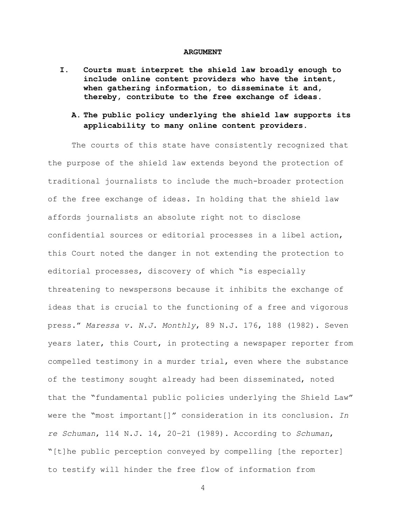#### **ARGUMENT**

<span id="page-8-1"></span><span id="page-8-0"></span>**I. Courts must interpret the shield law broadly enough to include online content providers who have the intent, when gathering information, to disseminate it and, thereby, contribute to the free exchange of ideas.** 

# <span id="page-8-2"></span>**A. The public policy underlying the shield law supports its applicability to many online content providers.**

The courts of this state have consistently recognized that the purpose of the shield law extends beyond the protection of traditional journalists to include the much-broader protection of the free exchange of ideas. In holding that the shield law affords journalists an absolute right not to disclose confidential sources or editorial processes in a libel action, this Court noted the danger in not extending the protection to editorial processes, discovery of which "is especially threatening to newspersons because it inhibits the exchange of ideas that is crucial to the functioning of a free and vigorous press.‖ *Maressa v. N.J. Monthly*, 89 N.J. 176, 188 (1982). Seven years later, this Court, in protecting a newspaper reporter from compelled testimony in a murder trial, even where the substance of the testimony sought already had been disseminated, noted that the "fundamental public policies underlying the Shield Law" were the "most important[]" consideration in its conclusion. In *re Schuman*, 114 N.J. 14, 20–21 (1989). According to *Schuman*, ―[t]he public perception conveyed by compelling [the reporter] to testify will hinder the free flow of information from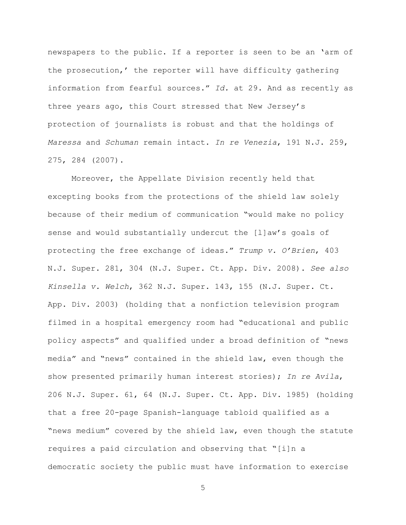newspapers to the public. If a reporter is seen to be an 'arm of the prosecution,' the reporter will have difficulty gathering information from fearful sources.‖ *Id.* at 29. And as recently as three years ago, this Court stressed that New Jersey's protection of journalists is robust and that the holdings of *Maressa* and *Schuman* remain intact. *In re Venezia*, 191 N.J. 259, 275, 284 (2007).

Moreover, the Appellate Division recently held that excepting books from the protections of the shield law solely because of their medium of communication "would make no policy sense and would substantially undercut the [l]aw's goals of protecting the free exchange of ideas.‖ *Trump v. O'Brien*, 403 N.J. Super. 281, 304 (N.J. Super. Ct. App. Div. 2008). *See also Kinsella v. Welch*, 362 N.J. Super. 143, 155 (N.J. Super. Ct. App. Div. 2003) (holding that a nonfiction television program filmed in a hospital emergency room had "educational and public policy aspects" and qualified under a broad definition of "news media" and "news" contained in the shield law, even though the show presented primarily human interest stories); *In re Avila*, 206 N.J. Super. 61, 64 (N.J. Super. Ct. App. Div. 1985) (holding that a free 20-page Spanish-language tabloid qualified as a "news medium" covered by the shield law, even though the statute requires a paid circulation and observing that "[i]n a democratic society the public must have information to exercise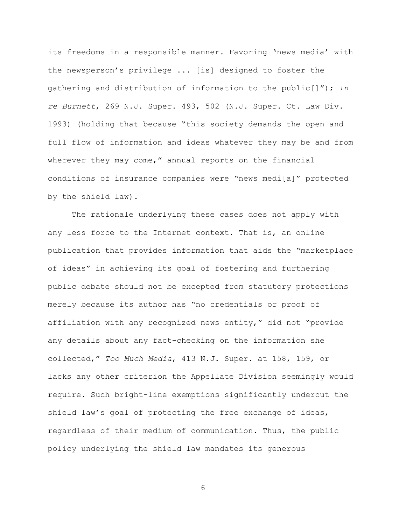its freedoms in a responsible manner. Favoring 'news media' with the newsperson's privilege ... [is] designed to foster the gathering and distribution of information to the public[]‖); *In re Burnett*, 269 N.J. Super. 493, 502 (N.J. Super. Ct. Law Div. 1993) (holding that because "this society demands the open and full flow of information and ideas whatever they may be and from wherever they may come," annual reports on the financial conditions of insurance companies were "news medi[a]" protected by the shield law).

The rationale underlying these cases does not apply with any less force to the Internet context. That is, an online publication that provides information that aids the "marketplace of ideas‖ in achieving its goal of fostering and furthering public debate should not be excepted from statutory protections merely because its author has "no credentials or proof of affiliation with any recognized news entity," did not "provide any details about any fact-checking on the information she collected,‖ *Too Much Media*, 413 N.J. Super. at 158, 159, or lacks any other criterion the Appellate Division seemingly would require. Such bright-line exemptions significantly undercut the shield law's goal of protecting the free exchange of ideas, regardless of their medium of communication. Thus, the public policy underlying the shield law mandates its generous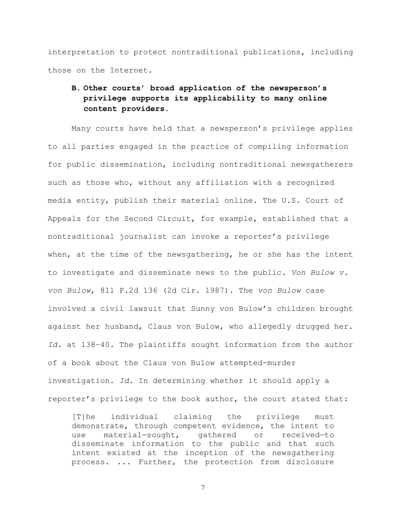interpretation to protect nontraditional publications, including those on the Internet.

# <span id="page-11-0"></span>**B. Other courts' broad application of the newsperson's privilege supports its applicability to many online content providers.**

Many courts have held that a newsperson's privilege applies to all parties engaged in the practice of compiling information for public dissemination, including nontraditional newsgatherers such as those who, without any affiliation with a recognized media entity, publish their material online. The U.S. Court of Appeals for the Second Circuit, for example, established that a nontraditional journalist can invoke a reporter's privilege when, at the time of the newsgathering, he or she has the intent to investigate and disseminate news to the public. *Von Bulow v. von Bulow*, 811 F.2d 136 (2d Cir. 1987). The *von Bulow* case involved a civil lawsuit that Sunny von Bulow's children brought against her husband, Claus von Bulow, who allegedly drugged her. *Id.* at 138–40. The plaintiffs sought information from the author of a book about the Claus von Bulow attempted-murder investigation. *Id.* In determining whether it should apply a reporter's privilege to the book author, the court stated that:

[T]he individual claiming the privilege must demonstrate, through competent evidence, the intent to use material—sought, gathered or received—to disseminate information to the public and that such intent existed at the inception of the newsgathering process. ... Further, the protection from disclosure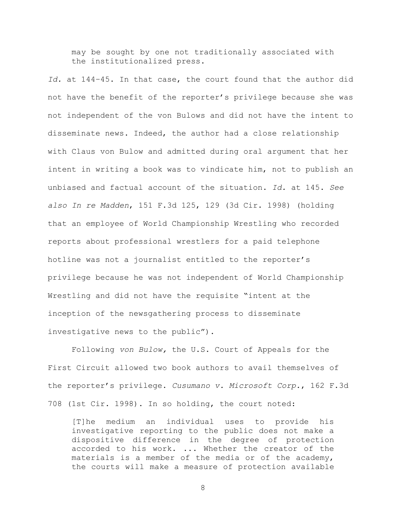may be sought by one not traditionally associated with the institutionalized press.

*Id.* at 144–45. In that case, the court found that the author did not have the benefit of the reporter's privilege because she was not independent of the von Bulows and did not have the intent to disseminate news. Indeed, the author had a close relationship with Claus von Bulow and admitted during oral argument that her intent in writing a book was to vindicate him, not to publish an unbiased and factual account of the situation. *Id.* at 145. *See also In re Madden*, 151 F.3d 125, 129 (3d Cir. 1998) (holding that an employee of World Championship Wrestling who recorded reports about professional wrestlers for a paid telephone hotline was not a journalist entitled to the reporter's privilege because he was not independent of World Championship Wrestling and did not have the requisite "intent at the inception of the newsgathering process to disseminate investigative news to the public").

Following *von Bulow,* the U.S. Court of Appeals for the First Circuit allowed two book authors to avail themselves of the reporter's privilege. *Cusumano v. Microsoft Corp.*, 162 F.3d 708 (1st Cir. 1998). In so holding, the court noted:

[T]he medium an individual uses to provide his investigative reporting to the public does not make a dispositive difference in the degree of protection accorded to his work. ... Whether the creator of the materials is a member of the media or of the academy, the courts will make a measure of protection available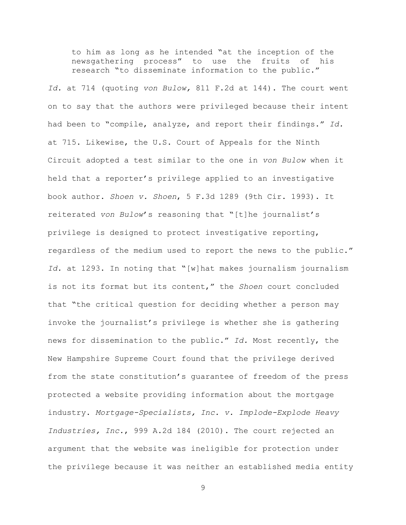to him as long as he intended "at the inception of the newsgathering process‖ to use the fruits of his research "to disseminate information to the public."

*Id.* at 714 (quoting *von Bulow,* 811 F.2d at 144). The court went on to say that the authors were privileged because their intent had been to "compile, analyze, and report their findings." Id. at 715. Likewise, the U.S. Court of Appeals for the Ninth Circuit adopted a test similar to the one in *von Bulow* when it held that a reporter's privilege applied to an investigative book author. *Shoen v. Shoen*, 5 F.3d 1289 (9th Cir. 1993). It reiterated von Bulow's reasoning that "[t]he journalist's privilege is designed to protect investigative reporting, regardless of the medium used to report the news to the public." Id. at 1293. In noting that "[w]hat makes journalism journalism is not its format but its content," the *Shoen* court concluded that "the critical question for deciding whether a person may invoke the journalist's privilege is whether she is gathering news for dissemination to the public.‖ *Id.* Most recently, the New Hampshire Supreme Court found that the privilege derived from the state constitution's guarantee of freedom of the press protected a website providing information about the mortgage industry. *Mortgage-Specialists, Inc. v. Implode-Explode Heavy Industries, Inc.*, 999 A.2d 184 (2010). The court rejected an argument that the website was ineligible for protection under the privilege because it was neither an established media entity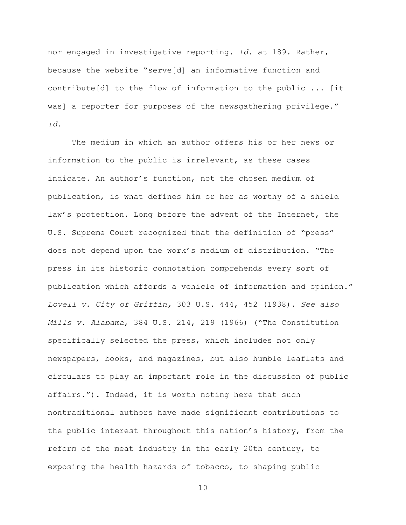nor engaged in investigative reporting. *Id.* at 189. Rather, because the website "serve[d] an informative function and contribute[d] to the flow of information to the public ... [it was] a reporter for purposes of the newsgathering privilege." *Id.*

The medium in which an author offers his or her news or information to the public is irrelevant, as these cases indicate. An author's function, not the chosen medium of publication, is what defines him or her as worthy of a shield law's protection. Long before the advent of the Internet, the U.S. Supreme Court recognized that the definition of "press" does not depend upon the work's medium of distribution. ―The press in its historic connotation comprehends every sort of publication which affords a vehicle of information and opinion." *Lovell v. City of Griffin,* 303 U.S. 444, 452 (1938). *See also Mills v. Alabama,* 384 U.S. 214, 219 (1966) ("The Constitution specifically selected the press, which includes not only newspapers, books, and magazines, but also humble leaflets and circulars to play an important role in the discussion of public affairs."). Indeed, it is worth noting here that such nontraditional authors have made significant contributions to the public interest throughout this nation's history, from the reform of the meat industry in the early 20th century, to exposing the health hazards of tobacco, to shaping public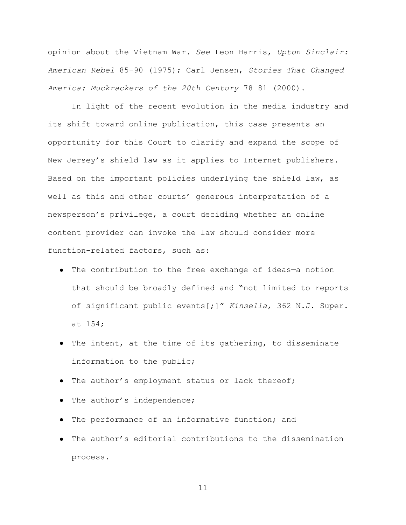opinion about the Vietnam War. *See* Leon Harris, *Upton Sinclair: American Rebel* 85–90 (1975); Carl Jensen, *Stories That Changed America: Muckrackers of the 20th Century* 78–81 (2000).

In light of the recent evolution in the media industry and its shift toward online publication, this case presents an opportunity for this Court to clarify and expand the scope of New Jersey's shield law as it applies to Internet publishers. Based on the important policies underlying the shield law, as well as this and other courts' generous interpretation of a newsperson's privilege, a court deciding whether an online content provider can invoke the law should consider more function-related factors, such as:

- The contribution to the free exchange of ideas—a notion that should be broadly defined and "not limited to reports of significant public events[;]‖ *Kinsella*, 362 N.J. Super. at 154;
- The intent, at the time of its gathering, to disseminate information to the public;
- The author's employment status or lack thereof;
- The author's independence;
- The performance of an informative function; and
- The author's editorial contributions to the dissemination process.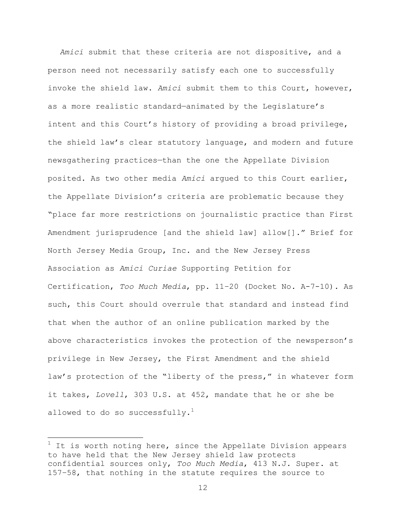*Amici* submit that these criteria are not dispositive, and a person need not necessarily satisfy each one to successfully invoke the shield law. *Amici* submit them to this Court, however, as a more realistic standard—animated by the Legislature's intent and this Court's history of providing a broad privilege, the shield law's clear statutory language, and modern and future newsgathering practices—than the one the Appellate Division posited. As two other media *Amici* argued to this Court earlier, the Appellate Division's criteria are problematic because they ―place far more restrictions on journalistic practice than First Amendment jurisprudence [and the shield law] allow[]." Brief for North Jersey Media Group, Inc. and the New Jersey Press Association as *Amici Curiae* Supporting Petition for Certification, *Too Much Media*, pp. 11–20 (Docket No. A-7-10). As such, this Court should overrule that standard and instead find that when the author of an online publication marked by the above characteristics invokes the protection of the newsperson's privilege in New Jersey, the First Amendment and the shield law's protection of the "liberty of the press," in whatever form it takes, *Lovell*, 303 U.S. at 452, mandate that he or she be allowed to do so successfully. $1$ 

l

 $1$  It is worth noting here, since the Appellate Division appears to have held that the New Jersey shield law protects confidential sources only, *Too Much Media*, 413 N.J. Super. at 157–58, that nothing in the statute requires the source to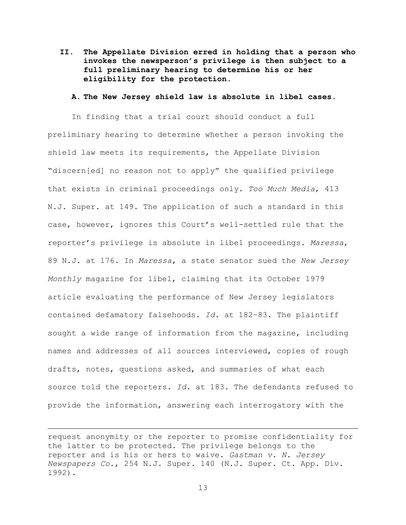<span id="page-17-0"></span>**II. The Appellate Division erred in holding that a person who invokes the newsperson's privilege is then subject to a full preliminary hearing to determine his or her eligibility for the protection.**

### **A. The New Jersey shield law is absolute in libel cases.**

<span id="page-17-1"></span>In finding that a trial court should conduct a full preliminary hearing to determine whether a person invoking the shield law meets its requirements, the Appellate Division "discern[ed] no reason not to apply" the qualified privilege that exists in criminal proceedings only. *Too Much Media*, 413 N.J. Super. at 149. The application of such a standard in this case, however, ignores this Court's well-settled rule that the reporter's privilege is absolute in libel proceedings. *Maressa*, 89 N.J. at 176. In *Maressa*, a state senator sued the *New Jersey Monthly* magazine for libel, claiming that its October 1979 article evaluating the performance of New Jersey legislators contained defamatory falsehoods. *Id.* at 182–83. The plaintiff sought a wide range of information from the magazine, including names and addresses of all sources interviewed, copies of rough drafts, notes, questions asked, and summaries of what each source told the reporters. *Id.* at 183. The defendants refused to provide the information, answering each interrogatory with the

 $\overline{a}$ 

request anonymity or the reporter to promise confidentiality for the latter to be protected. The privilege belongs to the reporter and is his or hers to waive. *Gastman v. N. Jersey Newspapers Co.*, 254 N.J. Super. 140 (N.J. Super. Ct. App. Div. 1992).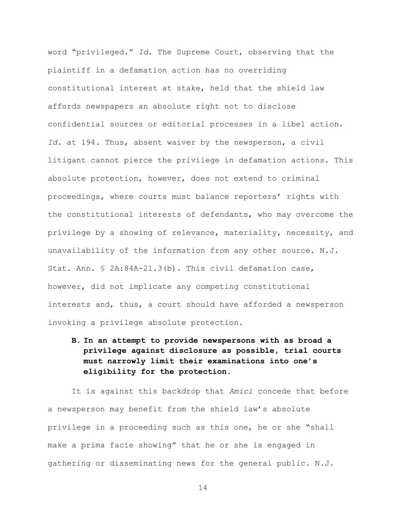word "privileged." Id. The Supreme Court, observing that the plaintiff in a defamation action has no overriding constitutional interest at stake, held that the shield law affords newspapers an absolute right not to disclose confidential sources or editorial processes in a libel action. *Id.* at 194. Thus, absent waiver by the newsperson, a civil litigant cannot pierce the privilege in defamation actions. This absolute protection, however, does not extend to criminal proceedings, where courts must balance reporters' rights with the constitutional interests of defendants, who may overcome the privilege by a showing of relevance, materiality, necessity, and unavailability of the information from any other source. N.J. Stat. Ann. § 2A:84A-21.3(b). This civil defamation case, however, did not implicate any competing constitutional interests and, thus, a court should have afforded a newsperson invoking a privilege absolute protection.

<span id="page-18-0"></span>**B. In an attempt to provide newspersons with as broad a privilege against disclosure as possible, trial courts must narrowly limit their examinations into one's eligibility for the protection.** 

It is against this backdrop that *Amici* concede that before a newsperson may benefit from the shield law's absolute privilege in a proceeding such as this one, he or she "shall make a prima facie showing" that he or she is engaged in gathering or disseminating news for the general public. N.J.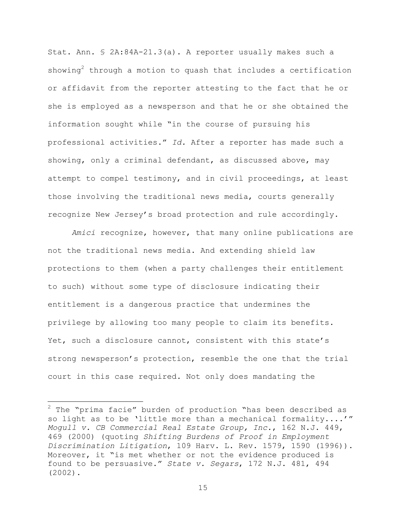Stat. Ann. § 2A:84A-21.3(a). A reporter usually makes such a showing<sup>2</sup> through a motion to quash that includes a certification or affidavit from the reporter attesting to the fact that he or she is employed as a newsperson and that he or she obtained the information sought while "in the course of pursuing his professional activities.‖ *Id.* After a reporter has made such a showing, only a criminal defendant, as discussed above, may attempt to compel testimony, and in civil proceedings, at least those involving the traditional news media, courts generally recognize New Jersey's broad protection and rule accordingly.

*Amici* recognize, however, that many online publications are not the traditional news media. And extending shield law protections to them (when a party challenges their entitlement to such) without some type of disclosure indicating their entitlement is a dangerous practice that undermines the privilege by allowing too many people to claim its benefits. Yet, such a disclosure cannot, consistent with this state's strong newsperson's protection, resemble the one that the trial court in this case required. Not only does mandating the

l

 $2$  The "prima facie" burden of production "has been described as so light as to be 'little more than a mechanical formality....'" *Mogull v. CB Commercial Real Estate Group, Inc.*, 162 N.J. 449, 469 (2000) (quoting *[Shifting Burdens of Proof in Employment](https://web2.westlaw.com/find/default.wl?tf=-1&rs=WLW10.10&referencepositiontype=S&serialnum=0106478382&fn=_top&sv=Split&referenceposition=1590&pbc=9F324A8C&tc=-1&ordoc=2000055540&findtype=Y&db=3084&vr=2.0&rp=%2ffind%2fdefault.wl&mt=Westlaw)  Discrimination Litigation*, [109 Harv. L. Rev. 1579, 1590 \(1996\)\)](https://web2.westlaw.com/find/default.wl?tf=-1&rs=WLW10.10&referencepositiontype=S&serialnum=0106478382&fn=_top&sv=Split&referenceposition=1590&pbc=9F324A8C&tc=-1&ordoc=2000055540&findtype=Y&db=3084&vr=2.0&rp=%2ffind%2fdefault.wl&mt=Westlaw). Moreover, it "is met whether or not the evidence produced is found to be persuasive.‖ *State v. Segars*, 172 N.J. 481, 494 (2002).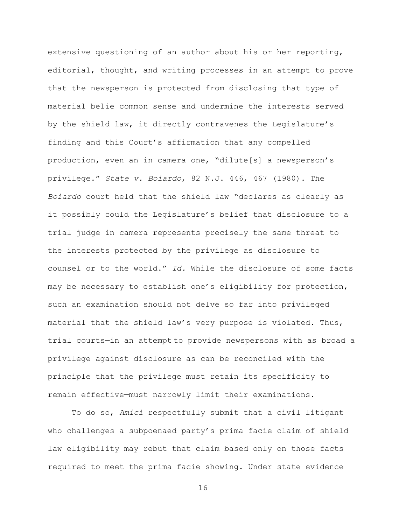extensive questioning of an author about his or her reporting, editorial, thought, and writing processes in an attempt to prove that the newsperson is protected from disclosing that type of material belie common sense and undermine the interests served by the shield law, it directly contravenes the Legislature's finding and this Court's affirmation that any compelled production, even an in camera one, "dilute[s] a newsperson's privilege.‖ *State v. Boiardo*, 82 N.J. 446, 467 (1980). The Boiardo court held that the shield law "declares as clearly as it possibly could the Legislature's belief that disclosure to a trial judge in camera represents precisely the same threat to the interests protected by the privilege as disclosure to counsel or to the world." Id. While the disclosure of some facts may be necessary to establish one's eligibility for protection, such an examination should not delve so far into privileged material that the shield law's very purpose is violated. Thus, trial courts—in an attempt to provide newspersons with as broad a privilege against disclosure as can be reconciled with the principle that the privilege must retain its specificity to remain effective—must narrowly limit their examinations.

To do so, *Amici* respectfully submit that a civil litigant who challenges a subpoenaed party's prima facie claim of shield law eligibility may rebut that claim based only on those facts required to meet the prima facie showing. Under state evidence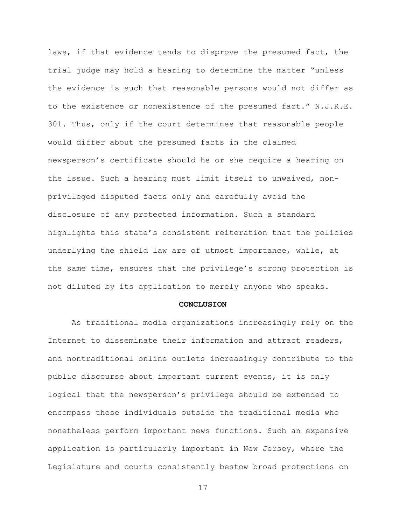laws, if that evidence tends to disprove the presumed fact, the trial judge may hold a hearing to determine the matter "unless the evidence is such that reasonable persons would not differ as to the existence or nonexistence of the presumed fact." N.J.R.E. 301. Thus, only if the court determines that reasonable people would differ about the presumed facts in the claimed newsperson's certificate should he or she require a hearing on the issue. Such a hearing must limit itself to unwaived, nonprivileged disputed facts only and carefully avoid the disclosure of any protected information. Such a standard highlights this state's consistent reiteration that the policies underlying the shield law are of utmost importance, while, at the same time, ensures that the privilege's strong protection is not diluted by its application to merely anyone who speaks.

#### **CONCLUSION**

<span id="page-21-0"></span>As traditional media organizations increasingly rely on the Internet to disseminate their information and attract readers, and nontraditional online outlets increasingly contribute to the public discourse about important current events, it is only logical that the newsperson's privilege should be extended to encompass these individuals outside the traditional media who nonetheless perform important news functions. Such an expansive application is particularly important in New Jersey, where the Legislature and courts consistently bestow broad protections on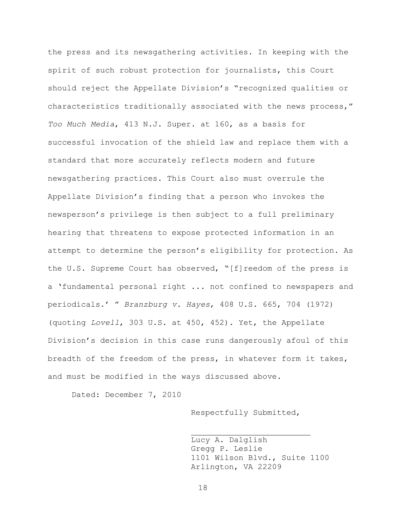the press and its newsgathering activities. In keeping with the spirit of such robust protection for journalists, this Court should reject the Appellate Division's "recognized qualities or characteristics traditionally associated with the news process," *Too Much Media*, 413 N.J. Super. at 160, as a basis for successful invocation of the shield law and replace them with a standard that more accurately reflects modern and future newsgathering practices. This Court also must overrule the Appellate Division's finding that a person who invokes the newsperson's privilege is then subject to a full preliminary hearing that threatens to expose protected information in an attempt to determine the person's eligibility for protection. As the U.S. Supreme Court has observed, " $[f]$ reedom of the press is a 'fundamental personal right ... not confined to newspapers and periodicals.' ‖ *Branzburg v. Hayes*, 408 U.S. 665, 704 (1972) (quoting *Lovell*, 303 U.S. at 450, 452). Yet, the Appellate Division's decision in this case runs dangerously afoul of this breadth of the freedom of the press, in whatever form it takes, and must be modified in the ways discussed above.

Dated: December 7, 2010

Respectfully Submitted,

Lucy A. Dalglish Gregg P. Leslie 1101 Wilson Blvd., Suite 1100 Arlington, VA 22209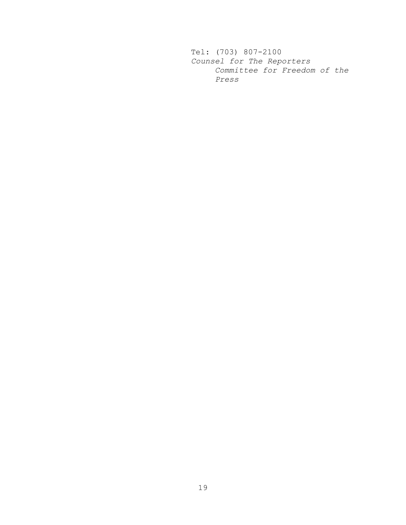Tel: (703) 807-2100 *Counsel for The Reporters Committee for Freedom of the Press*